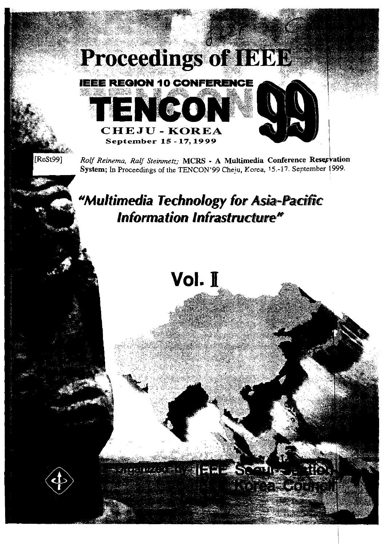

[ReSt99]

Rolf Reinema, Ralf Steinmetz; MCRS - A Multimedia Conference Reservation System; In Proceedings of the TENCON'99 Cheiu, Korea, 15.-17. September 1999.

"Multimedia Technology for Asia-Pacific **Information Infrastructure"** 

# Vol. I

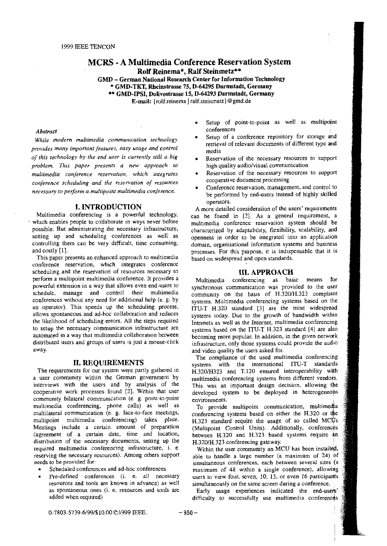# **MCRS** - **A Multimedia Conference Reservation System Rolf Reinema\*, Ralf Steinmetz\*\***

**GMD** - **German National Research Center for Information Technology**  \* **GMD-TKT, Rheinstrasse 75, D-64295 Darmstadt, Germany**  \*\* **GMD-IPSI, Dolivostrasse 15, D-64293 Darmstadt, Germany E-mail:** {rolf.reinema | ralf.steinmetz} @gmd.de

While modern multimedia communication technology **provides rnany imponant features. easy usage and conrrol** media of this technology by the end user is currently still a big **Reservation of the necessary resources** to support problem. This paper presents a new approach to high quality audio/visual communication problem. This paper presents a new approach to *multimedia conference reservation*, which *integrates* conference scheduling and the reservation of resources

## **I. INTRODUCTION**

Multimedia conferencing is a powerful technology, which enables people to collaborate in ways never before possible. But administrating the necessary infrastructure, setting up and scheduling conferences as well as controlling them can be very difficult, time consuming, and costly [I].

This paper presents an enhanced approach to multimedia conference reservation, which integrates conference scheduling and the reservation of resources necessary to perform a multipoint multimedia conference. It provides a powerful extension in a way that allows even end-users to schedule, manage and control their multimedia conferences without any need for additional help (e. g. by an operator). This speeds up the scheduling process. allows spontaneous and ad-hoc collaboration and reduces the likelihood of scheduling errors. All ihe steps required to setup the necessary communication infrastructure are automated in a way that multimedia collaboration between distributed users and groups of users is just a mouse-click away.

## **11. REQWREMENTS**

The requirements for our system were partly gathered in a User community within the German government by interviews with the users and by analysis of the cooperative work processes found [2]. Within that user community bilateral communication (e. g. point-to-point multimedia conferencing, phone calls) as well as multilateral communication (e. g. face-to-face meetings, multipoint multimedia conferencing) takes place. Meetings include a certain amount of preparation (agreement of a certain date. time and location, distribution of the necessary documents, setting up the required multimedia conferencing infrastructure. i. e, reserving the necessary resources). Among athers support needs to be provided for:

- Scheduled conferences and ad-hoc conferences
- Scheduled conferences and ad-hoc conferences<br>• Pre-defined conferences (i. e. all necessary resources and tools are known in advance) as well **as** spontaneous ones (i. e. resources and tools are added when required)
- Setup of point-to-point as well as multipoint conferences
- Abstract<br>W<sup>1</sup> and the discussive the conference **and**<br>W<sup>1</sup> and the discussive the conference repository for storage and retrieval of relevant documents of different type and
	-
	- Reservation of the necessary resources to support cooperative document processing
- Conference reservation, management, and control 10 necessary to perform a multipoint multimedia conference.<br>be performed by end-users instead of highly skilled Operators.

A more detailed consideration of the users' requirements can be found in *[I].* As a general requirement. a multimedia conference reservation system should be characterized by adaptability, flexibility, scalability, and openness in Order to be integrated into an application domain. organizational information systems and business processes. For this purpose, it is indispensable that it is based on widespread and Open standards.

## **111. APPROACH**

Multimedia conferencing as basic means for synchronous communication was provided to the user community on the basis of H.320H.323 compliant systems. Multimedia conferencing systems based on the ITU-T H.320 standard [3] are the most widespread systems today. Due to the growth of bandwidth within Intranets as well as the Internet. multimedia conferencing systems based on the ITU-T H.323 standard [4] are also becoming rnore popular. In addition, in the given network infrastructure. only those systems could provide the audio and video quality the users asked for.

The compliance of the used multimedia conferencing systems with the international ITU-T standards H.320/H323 and T.120 ensured interoperability with multimedia conferencing systems from different vendors. This was an important design decision. allowing tbe developed system to be deployed in heterogeneous environments.

To provide multipoint communication, multimedia conferencing systems based on either the H.320 or the<br>H.323 standard require the usage of so called MCUs<br>(Multipoint Control Units) Additionally conferences H.323 standard require the usage of so called MC $\Psi$ s H.320/H.323 conferencing gateway. (Multipoint Control Units). Additionally, conferences between H.320 and H.323 based systems require an

Within the user community an MCU has been installed, able to handle a large number (a maximum of **24)** bf simultaneous conferences, each between several sites (a maximum of 48 within a single conference), allowing users to view four, seven, 10, 13. or even 16 participants simultaneously on the same screen during a conference.

Early usage experiences indicated the end-users' difficulty to successfully use multimedia conferences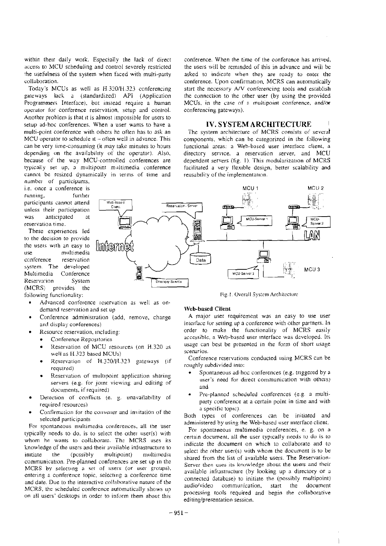within their daily work. Especially the lack of direct access to MCU scheduling and control severely restricted the usefulness of the system when faced with multi-party collaboration.

Today's MCUs as well as H.320/H.323 conferencing gateways lack a (standardized) API (Application Programmers Interface), but instead require a human operator for conference reservation, setup and control. Another problem is that it is almost impossible for users to setup ad-hoc conferences. When a user wants to have a multi-point conference with others he often has to ask an MCU operator to schedule it  $-$  often well in advance. This can be very time-consuming (it may take minutes to hours depending on the availability of the operator). Also, because of the way MCU-controlled conferences are typically set up, a multipoint multimedia conference cannot be resized dynamically in terms of time and

number of participants, i.e. once a conference is running, further participants cannot attend unless their participation was anticipated **of** reservation time.

These experiences led to the decision to provide the users with an easy to multimedia use conference reservation system. The developed Multimedia Conference Reservation System (MCRS) provides the following functionality:

- Advanced conference reservation as well as ondemand reservation and set up
- Conference administration (add, remove, change and display conferences)
- Resource reservation, including:
	- Conference Repositories  $\bullet$
	- Reservation of MCU resources (on H.320 as well as H.323 based MCUs)
	- Reservation of H.320/H.323 gateways (if required)
	- Reservation of multipoint application sharing servers (e.g. for joint viewing and editing of documents, if required)
- Detection of conflicts (e. g. unavailability of required resources)
- Confirmation for the convener and invitation of the selected participants

For spontaneous multimedia conferences, all the user typically needs to do, is to select the other user(s) with whom he wants to collaborate. The MCRS uses its knowledge of the users and their available infrastructure to initiate multipoint) the  $(possibly)$ multimedia communication. Pre-planned conferences are set up in the MCRS by selecting a set of users (or user groups), entering a conference topic, selecting a conference time and date. Due to the interactive collaborative nature of the MCRS, the scheduled conference automatically shows up on all users' desktops in order to inform them about this conference. When the time of the conference has arrived, the users will be reminded of this in advance and will be asked to indicate when they are ready to enter the conference. Upon confirmation, MCRS can automatically start the necessary A/V conferencing tools and establish the connection to the other user (by using the provided MCUs, in the case of a multipoint conference, and/or conferencing gateways).

## **IV. SYSTEM ARCHITECTURE**

The system architecture of MCRS consists of several components, which can be categorized in the following functional areas: a Web-based user interface client, a directory service, a reservation server, and MCU dependent servers (fig. 1). This modularization of MCRS facilitated a very flexible design, better scalability and reusability of the implementation.



Fig.1. Overall System Architecture

## **Web-based Client**

A major user requirement was an easy to use user interface for setting up a conference with other partners. In order to make the functionality of MCRS easily accessible, a Web-based user interface was developed. Its usage can best be presented in the form of short usage scenarios.

Conference reservations conducted using MCRS can be roughly subdivided into:

- Spontaneous ad-hoc conferences (e.g. triggered by a user's need for direct communication with others) and
- Pre-planned scheduled conferences (e.g. a multiparty conference at a certain point in time and with a specific topic).

Both types of conferences can be initiated and administered by using the Web-based user interface client.

For spontaneous multimedia conferences, e. g. on a certain document, all the user typically needs to do is to indicate the document on which to collaborate and to select the other user(s) with whom the document is to be shared from the list of available users. The Reservation-Server then uses its knowledge about the users and their available infrastructure (by looking up a directory or a connected database) to initiate the (possibly multipoint) audio/video communication, start the document processing tools required and begin the collaborative editing/presentation session.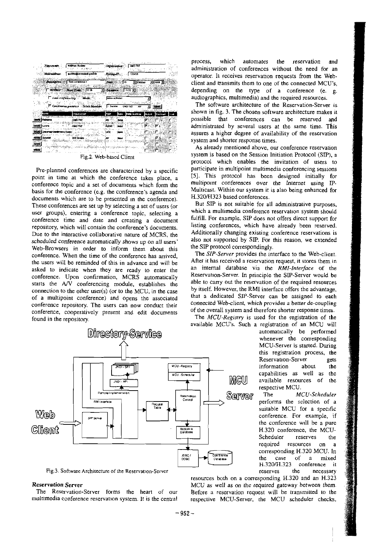

Fig.2. Web-based Client

Pre-planned conferences are characterized by a specific point in time at which the conference takes place, a conference topic and a set of documents which form the basis for the conference (e.g. the conference's agenda and documents which are to be presented in the conference). These conferences are set up by selecting a set of users (or user groups), entering a conference topic, selecting a conference time and date and creating a document repository, which will contain the conference's documents. Due to the interactive collaborative nature of MCRS. the scheduled conference automatically shows up on all users' Web-Browsers in order to inform them about this conference. When the time of the conference has arrived. the users will be reminded of this in advance and will be asked to indicate when they are ready to enter the conference. Upon confirmation, MCRS automatically Starts the **A/V** conferencing module, establishes the connection to the other user(s) (or to the MCU, in the case of a multipoint conference) and Opens the associated conference repository. The users can now conduct their conference, cooperatively present and edit documents found in the repository.

process, which automates the reservation and administration of conferences without the need for an Operator. It receives reservation requests from the Webclient and transmits them to one of the connected MCU's, depending on the type of a conference (e. g. audiographics, multimedia) and the required resources.

**Audiences. The software architecture of the Reservation-Server is** shown in fig. 3. The chosen software architecture makes it possible that conferences can be reserved and administrated by several users at the Same time. This assures a higher degree of availability of the reservation System and shorter response times.

> As already mentioned above, our conference reservation system is based on the Session Initiation Protocol (SIP), a protocol which enables the invitation of users to participate in multipoint multimedia conferencing sessions **[51.** This protocol has been designed initially for multipoint conferences over the Intemet using P-Multicast. Within ow system it is also being enhanced for H.320/H323 based conferences.

> But SIP is not suitable for all administrative purposes, which a multimedia conference reservation system should fulfill. For example, SIP does not offers direct support for listing conferences, which have already been reserved. Additionally changing existing conference reservations is also not supported by SIP. For this reason, we extended the SIP protocol correspondingly.

> The *SIP-Server* provides the interface to the Web-client. After it has received a reservation request, it stores them in an internal database via the *RMI-Interface* of the Reservation-Server. In principle the SP-Server would be able to carry out the reservation of the required resources by itself. However. the RMI interface offers the advantage, that a dedicated SIP-Server can be assigned to each connected Web-client, which provides **o** better de-coupling of the overall system and therefore shorter response times.

The *MCU-Registry* is used for the registration of the available MCU's. Such a registration of an MCU will

automatically be performed whenever the corresponding MCU-Server is started. During this registration process, the<br>Reservation-Server eats Reservation-Server information about the capabilities as well as the available resources of the respective MCU.

The *MCU-Scheduler*  performs the selection of a suitable MCU for a specific conference. For example. if the conference will be a pure H.320 conference, the MCU-Scheduler reserves the corresponding H.320 MCU. In the case of a mixed<br>H.320/H.323 conference it H.320M.323 conference it



**Fig.3. Software Architecture of the Reservation-Server reserves the necessary** 

resources both on a corresponding H.320 and an H.323 **Reservation Server**<br>The Reservation-Server forms the heart of our Before a reservation request will be transmitted to the Before a reservation request will be transmitted to the multimedia conference reservation system. It is the central respective MCU-Server, the MCU scheduler checks,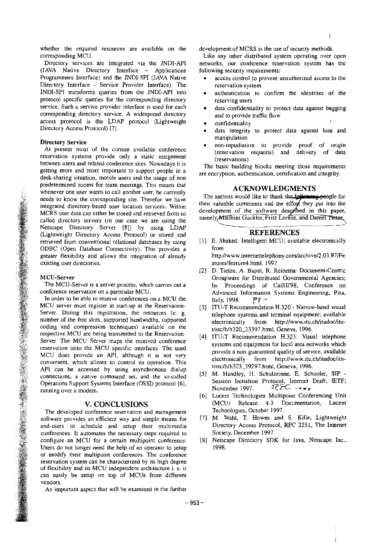whether the required resources are available on the corresponding MCU.

Directory services are integrated via the JNDI-API (JAVA Native Directory Interface - Applications Programmers Interface) and the JNDI-SPI (JAVA Native Directory Interface - Service Provider Interface). The JNDI-SPI iransforms queries from the JNDI-API into protocol specific queries for the corresponding directory service. Such a service provider interface is used for each corresponding directory service. A widespread directory access protocol is the LDAP protocol (Lightweight Directory Access Protocol) [7].

## Directory Service

At present most of the current available conference reservation systems provide onIy a static assignment between users and related conference sites. Nowadays it is getting more and morc important to Support people in a desk-sharing situation, mobile users and the usage of non predetermined rooms for team meetings. This means that predetentified fooths for team meetings. This means that<br>whenever one user wants to call another user, he currently<br>needs to know the corresponding city. Therefore we have a structure of the authors would like to thank the needs to know the corresponding site. Therefor we have the authors would like to thank the town and the process the effort they put into the integrated directory-based user location services. Within integrated directory-based user location services. Within linear valuable comments and the error iney put into the<br>MCPS user data can either be stored and retrieved from so development of the software described in this pap MCRS user data can either be stored and retrieved from so development of the software described in this paper,<br>called directory cervers (in our case we are uning the namely Matthias Guckler, Fritz Lorenz, and Daniel Tietze called directory servers (in our case we are using the Netscape Directory Server [81) by using LDAP (Lightweight Directory Access Protocol) or stored and<br>retrieved from conventional relational databases by using [1] E. Shaked: Intelligent MCU; available electronically retrieved from conventional relational databases by using ODBC (Open Database Connectivity). This provides a greater flexibility and allows the integration of already existing user directories.

## MCU-Server

The MCU-Server is a server process, which carries out a confcrence reservation on a particular MCU.

In order to be able to reserve conferences on a MCU the MCU server must register at start-up at the Reservation-Server. During this registration, the resources (e. g. number of the free slots. supported bandwidths, supported coding and compression techniques) available on the respective MCU are being transmitted to the Reservation-Server. The MCU Server maps the received conference reservation onto the MCU specific interfaces. The used MCU does provide an API. although it is not very convenient, which allows to control its operation. This API can be accessed by using asynchronous dialup connections, a native command set, and the so-called Operations Support Syslems lnterface (OSSI) protocol (61. running over **a** modern.

The developed conference reservation and management Technologies, October 1997.<br>Strugge provides an efficient way and simple means for [7] M. Wahl, T. Howes and S. Kille, Lightweight software provides an efficient way and simple means for [7] M. Wahl, T. Howes and S. Kille, Lightweight end-users to schedule and setup their multimedia Directory Access Protocol, RFC 2251, The Internet end-users to schedule and setup their multimedia Directory Access Protocol conferences. It automates the necessary steps required to Society, December 1997. conferences. It automates the necessary steps required to Society, December 1997.<br>
configure an MCU for a certain multipoint conference. [8] Netscape Directory SDK for Java, Netscape Inc., configure an MCU for a certain multipoint conference. [8] Netscape Islam [8] Configure an operator of an operator to setup. [998] Users do not longer need the help of an operator to setup or modify their multipoint conferences. The conference reservation System can be characterized by **its** high degree of flexibility and iis MCU independent architecture i. e. it can easily be setup on top of MCUs from different vendors.

An important aspect that will be examined in the further

development of MCRS is the use of security methods.

Like any other distributed system operating over open networks, our conference reservation system has the following security requirements:

- access control to prevent unauthorized access to the reservation system
- authentication to confirm the identities of the reserving users
- data confidentiality to protect data against bugging<br>
and to provide traffic flow<br>
confidentiality<br>
confidentiality<br>
confidentiality<br>
confidentiality<br>
confidentiality<br>
confidentiality<br>
confidentiality and to provide traffic flow<br>confidentiality
- 
- data integrity to protect data against loss and manipulation
- . non-repudiation to provide proof of origin (reservation requests) and delivery of data (reservations).

The basic building blocks meeting those requirements are encryption, authentication, certification and integrity.

from

http://www.internettelephony.com/archivel2.03.97/Fe atures/feature4.html, 1997.

- [2] D. Tietze, A. Bapat. R. Reinema: Document-Centric Groupware for Distributed Governmental Agencies; In: Proceedings of CaiSE98, Conference on Advanced Information Systems Engineering, Pisa. Italy, 1998.  $\mathbb{P} \mathfrak{P}$
- [31 ITU-T Recommendation H.320 Narrow-band visual telephone systems and terminal equipment; available electronically from http://www.itu.ch/itudoc/itu**rlrecihlh320-23397.html.** Geneva, 1996.
- ITU-T Recommendation H.323: Visual telephone systems and equipment for local area networks which provide a non-guaranteed quality of service. available electronically from http://www.itu.ch/itudoc/itu**t~reclhlh323-39297.html.** Geneva. 1996.
- M. Handley, H. Schulzrinne, E. Schooler, SIP Session Initiation Protocol, Internet Draft, IETF;<br>November 1997.  $\widehat{\mathsf{C}\mathsf{FC}}$  we are November 1997. **0-GC ...**<br> **1997. 1997. 1997. 1998. 1998. 1998. 1998. 1998. 1999. 1999. 1999. 1999. 1999. 1999. 1999. 1999. 1999. 1999. 1999. 1999. 1999. 1999. 1999. 1999. 19**
- **V. CONCLUSIONS** (MCU) Release 4.3 Documentation, Lucent conference reservation and management Technologies, October 1997.
	-
	-

 $\mathbf{i}$